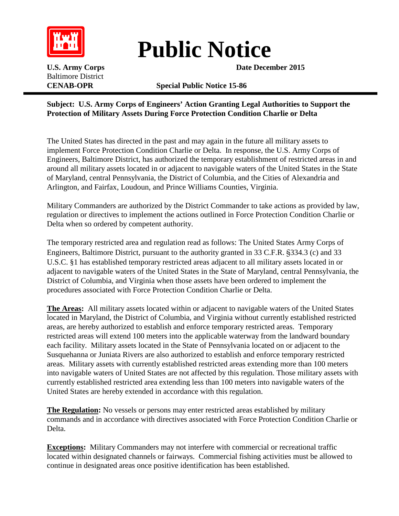

## **Public Notice**

**U.S. Army Corps Date December** 2015

Baltimore District

## **CENAB-OPR Special Public Notice 15-86**

## **Subject: U.S. Army Corps of Engineers' Action Granting Legal Authorities to Support the Protection of Military Assets During Force Protection Condition Charlie or Delta**

The United States has directed in the past and may again in the future all military assets to implement Force Protection Condition Charlie or Delta. In response, the U.S. Army Corps of Engineers, Baltimore District, has authorized the temporary establishment of restricted areas in and around all military assets located in or adjacent to navigable waters of the United States in the State of Maryland, central Pennsylvania, the District of Columbia, and the Cities of Alexandria and Arlington, and Fairfax, Loudoun, and Prince Williams Counties, Virginia.

Military Commanders are authorized by the District Commander to take actions as provided by law, regulation or directives to implement the actions outlined in Force Protection Condition Charlie or Delta when so ordered by competent authority.

The temporary restricted area and regulation read as follows: The United States Army Corps of Engineers, Baltimore District, pursuant to the authority granted in 33 C.F.R. §334.3 (c) and 33 U.S.C. §1 has established temporary restricted areas adjacent to all military assets located in or adjacent to navigable waters of the United States in the State of Maryland, central Pennsylvania, the District of Columbia, and Virginia when those assets have been ordered to implement the procedures associated with Force Protection Condition Charlie or Delta.

**The Areas:** All military assets located within or adjacent to navigable waters of the United States located in Maryland, the District of Columbia, and Virginia without currently established restricted areas, are hereby authorized to establish and enforce temporary restricted areas. Temporary restricted areas will extend 100 meters into the applicable waterway from the landward boundary each facility. Military assets located in the State of Pennsylvania located on or adjacent to the Susquehanna or Juniata Rivers are also authorized to establish and enforce temporary restricted areas. Military assets with currently established restricted areas extending more than 100 meters into navigable waters of United States are not affected by this regulation. Those military assets with currently established restricted area extending less than 100 meters into navigable waters of the United States are hereby extended in accordance with this regulation.

**The Regulation:** No vessels or persons may enter restricted areas established by military commands and in accordance with directives associated with Force Protection Condition Charlie or Delta.

**Exceptions:** Military Commanders may not interfere with commercial or recreational traffic located within designated channels or fairways. Commercial fishing activities must be allowed to continue in designated areas once positive identification has been established.